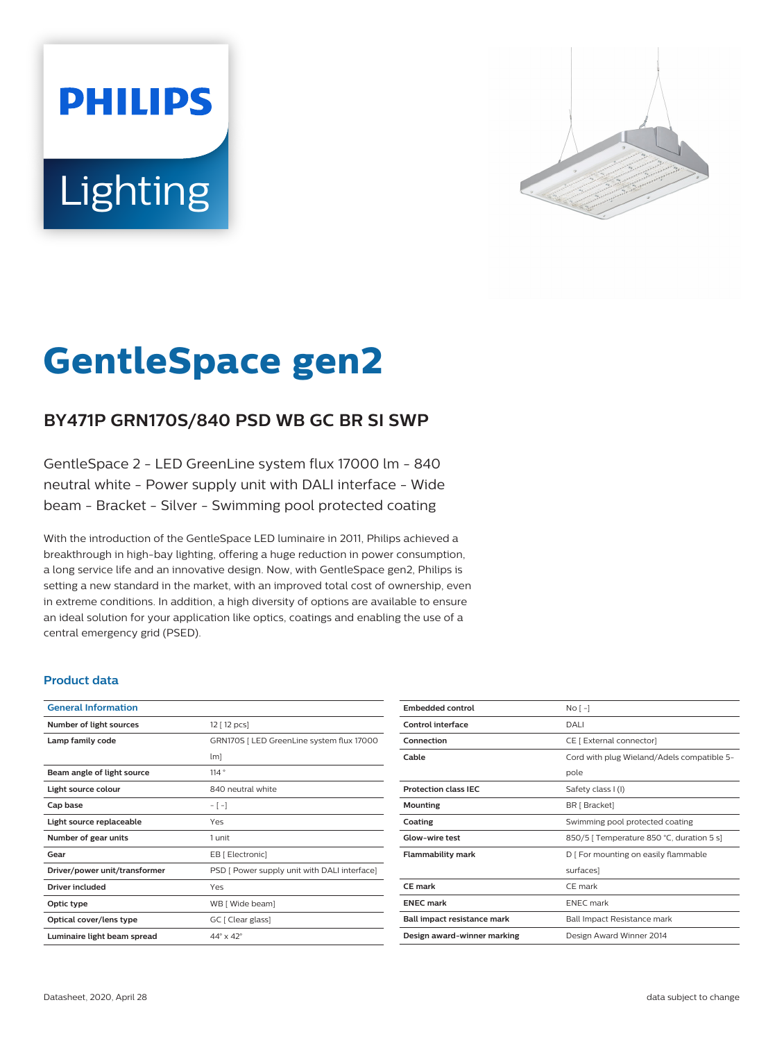# **PHILIPS** Lighting



# **GentleSpace gen2**

# **BY471P GRN170S/840 PSD WB GC BR SI SWP**

GentleSpace 2 - LED GreenLine system flux 17000 lm - 840 neutral white - Power supply unit with DALI interface - Wide beam - Bracket - Silver - Swimming pool protected coating

With the introduction of the GentleSpace LED luminaire in 2011, Philips achieved a breakthrough in high-bay lighting, offering a huge reduction in power consumption, a long service life and an innovative design. Now, with GentleSpace gen2, Philips is setting a new standard in the market, with an improved total cost of ownership, even in extreme conditions. In addition, a high diversity of options are available to ensure an ideal solution for your application like optics, coatings and enabling the use of a central emergency grid (PSED).

#### **Product data**

| <b>General Information</b>    |                                              |
|-------------------------------|----------------------------------------------|
| Number of light sources       | 12 [ 12 pcs]                                 |
| Lamp family code              | GRN170S   LED GreenLine system flux 17000    |
|                               | lm]                                          |
| Beam angle of light source    | 114°                                         |
| Light source colour           | 840 neutral white                            |
| Cap base                      | $-[-]$                                       |
| Light source replaceable      | Yes                                          |
| Number of gear units          | 1 unit                                       |
| Gear                          | EB [ Electronic]                             |
| Driver/power unit/transformer | PSD [ Power supply unit with DALI interface] |
| <b>Driver included</b>        | Yes                                          |
| Optic type                    | WB [ Wide beam]                              |
| Optical cover/lens type       | GC [ Clear glass]                            |
| Luminaire light beam spread   | $44^\circ \times 42^\circ$                   |

| <b>Embedded control</b>     | No <sub>1</sub>                            |
|-----------------------------|--------------------------------------------|
| Control interface           | DALI                                       |
| Connection                  | CE [ External connector]                   |
| Cable                       | Cord with plug Wieland/Adels compatible 5- |
|                             | pole                                       |
| <b>Protection class IEC</b> | Safety class I (I)                         |
| Mounting                    | BR [ Bracket]                              |
| Coating                     | Swimming pool protected coating            |
| Glow-wire test              | 850/5   Temperature 850 °C, duration 5 s]  |
| <b>Flammability mark</b>    | D   For mounting on easily flammable       |
|                             | surfaces]                                  |
| <b>CE</b> mark              | CE mark                                    |
| <b>FNFC</b> mark            | <b>FNFC</b> mark                           |
| Ball impact resistance mark | Ball Impact Resistance mark                |
| Design award-winner marking | Design Award Winner 2014                   |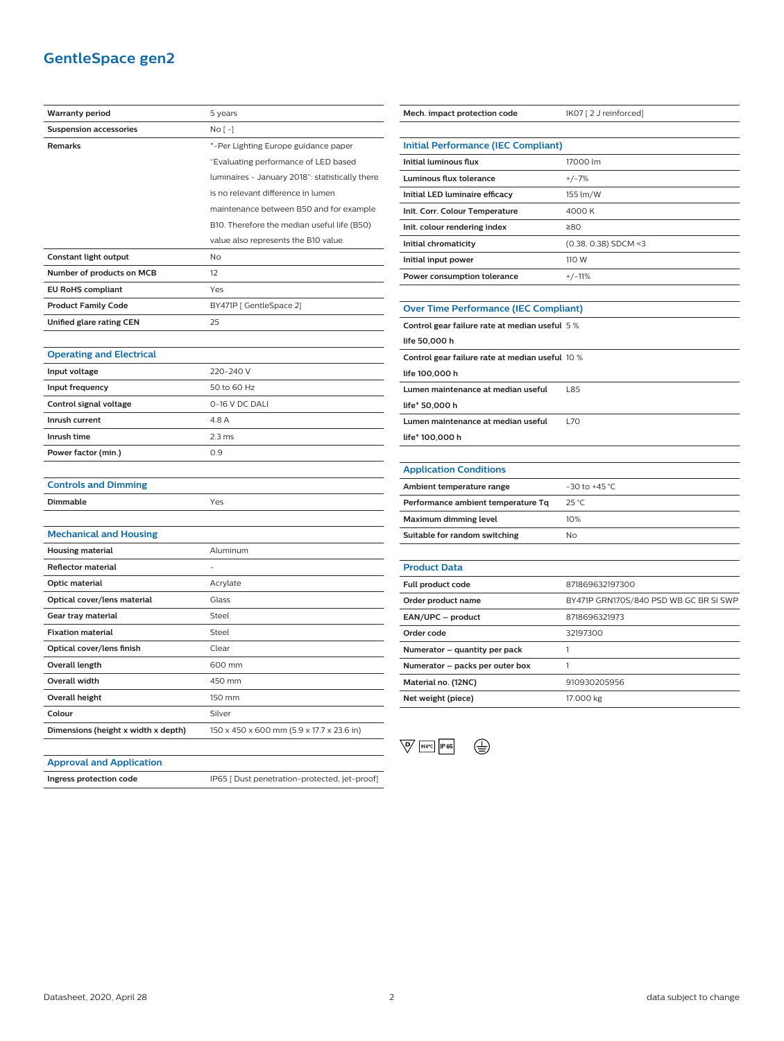## **GentleSpace gen2**

| <b>Warranty period</b>              | 5 years                                         |
|-------------------------------------|-------------------------------------------------|
| <b>Suspension accessories</b>       | $No [-]$                                        |
| <b>Remarks</b>                      | *-Per Lighting Europe guidance paper            |
|                                     | "Evaluating performance of LED based            |
|                                     | luminaires - January 2018": statistically there |
|                                     | is no relevant difference in lumen              |
|                                     | maintenance between B50 and for example         |
|                                     | B10. Therefore the median useful life (B50)     |
|                                     | value also represents the B10 value.            |
| Constant light output               | No                                              |
| Number of products on MCB           | 12                                              |
| <b>EU RoHS compliant</b>            | Yes                                             |
| <b>Product Family Code</b>          | BY471P [ GentleSpace 2]                         |
| Unified glare rating CEN            | 25                                              |
|                                     |                                                 |
| <b>Operating and Electrical</b>     |                                                 |
| Input voltage                       | 220-240 V                                       |
| Input frequency                     | 50 to 60 Hz                                     |
| Control signal voltage              | 0-16 V DC DALI                                  |
| Inrush current                      | 4.8 A                                           |
| Inrush time                         | $2.3$ ms                                        |
| Power factor (min.)                 | 0.9                                             |
|                                     |                                                 |
| <b>Controls and Dimming</b>         |                                                 |
| Dimmable                            | Yes                                             |
|                                     |                                                 |
| <b>Mechanical and Housing</b>       |                                                 |
| <b>Housing material</b>             | Aluminum                                        |
| <b>Reflector material</b>           |                                                 |
| Optic material                      | Acrylate                                        |
| Optical cover/lens material         | Glass                                           |
| Gear tray material                  | Steel                                           |
| <b>Fixation material</b>            | Steel                                           |
| Optical cover/lens finish           | Clear                                           |
| <b>Overall length</b>               | 600 mm                                          |
| <b>Overall width</b>                | 450 mm                                          |
| <b>Overall height</b>               | 150 mm                                          |
| Colour                              | Silver                                          |
| Dimensions (height x width x depth) | 150 x 450 x 600 mm (5.9 x 17.7 x 23.6 in)       |

| Mech. impact protection code                    | IK07 [2 J reinforced]                  |  |
|-------------------------------------------------|----------------------------------------|--|
|                                                 |                                        |  |
| <b>Initial Performance (IEC Compliant)</b>      |                                        |  |
| <b>Initial luminous flux</b>                    | 17000 lm                               |  |
| Luminous flux tolerance                         | $+/-7%$                                |  |
| Initial LED luminaire efficacy                  | 155 lm/W                               |  |
| Init. Corr. Colour Temperature                  | 4000 K                                 |  |
| Init. colour rendering index                    | ≥80                                    |  |
| Initial chromaticity                            | (0.38, 0.38) SDCM <3                   |  |
| Initial input power                             | 110 W                                  |  |
| Power consumption tolerance                     | $+/-11%$                               |  |
|                                                 |                                        |  |
| <b>Over Time Performance (IEC Compliant)</b>    |                                        |  |
| Control gear failure rate at median useful 5%   |                                        |  |
| life 50,000 h                                   |                                        |  |
| Control gear failure rate at median useful 10 % |                                        |  |
| life 100.000 h                                  |                                        |  |
| Lumen maintenance at median useful              | L85                                    |  |
| life* 50,000 h                                  |                                        |  |
| Lumen maintenance at median useful              | L70                                    |  |
| life* 100,000 h                                 |                                        |  |
|                                                 |                                        |  |
| <b>Application Conditions</b>                   |                                        |  |
| Ambient temperature range                       | $-30$ to $+45$ °C                      |  |
| Performance ambient temperature Tq              | $25^{\circ}$ C                         |  |
| Maximum dimming level                           | 10%                                    |  |
| Suitable for random switching                   | No                                     |  |
|                                                 |                                        |  |
| <b>Product Data</b>                             |                                        |  |
| Full product code                               | 871869632197300                        |  |
| Order product name                              | BY471P GRN170S/840 PSD WB GC BR SI SWP |  |
| EAN/UPC - product                               | 8718696321973                          |  |
| Order code                                      | 32197300                               |  |
| Numerator – quantity per pack                   | 1                                      |  |
| Numerator - packs per outer box                 | 1                                      |  |
| Material no. (12NC)                             | 910930205956                           |  |



**Net weight (piece)** 17.000 kg

#### **Approval and Application**

**Ingress protection code** IP65 [ Dust penetration-protected, jet-proof]